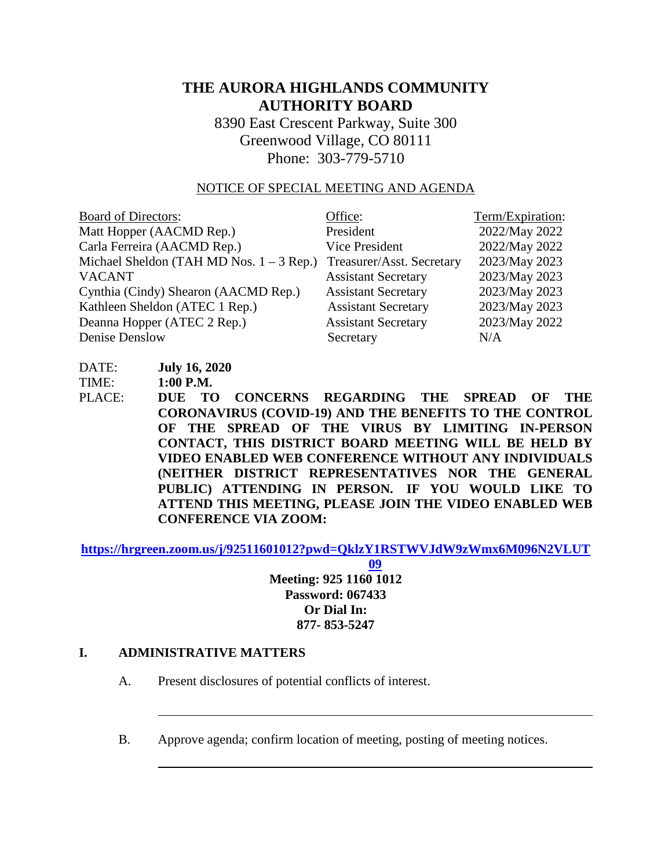# **THE AURORA HIGHLANDS COMMUNITY AUTHORITY BOARD**

8390 East Crescent Parkway, Suite 300 Greenwood Village, CO 80111 Phone: 303-779-5710

#### NOTICE OF SPECIAL MEETING AND AGENDA

| <b>Board of Directors:</b>                 | Office:                    | Term/Expiration: |
|--------------------------------------------|----------------------------|------------------|
| Matt Hopper (AACMD Rep.)                   | President                  | 2022/May 2022    |
| Carla Ferreira (AACMD Rep.)                | Vice President             | 2022/May 2022    |
| Michael Sheldon (TAH MD Nos. $1 - 3$ Rep.) | Treasurer/Asst. Secretary  | 2023/May 2023    |
| <b>VACANT</b>                              | <b>Assistant Secretary</b> | 2023/May 2023    |
| Cynthia (Cindy) Shearon (AACMD Rep.)       | <b>Assistant Secretary</b> | 2023/May 2023    |
| Kathleen Sheldon (ATEC 1 Rep.)             | <b>Assistant Secretary</b> | 2023/May 2023    |
| Deanna Hopper (ATEC 2 Rep.)                | <b>Assistant Secretary</b> | 2023/May 2022    |
| Denise Denslow                             | Secretary                  | N/A              |

DATE: **July 16, 2020**

TIME: **1:00 P.M.**

PLACE: **DUE TO CONCERNS REGARDING THE SPREAD OF THE CORONAVIRUS (COVID-19) AND THE BENEFITS TO THE CONTROL OF THE SPREAD OF THE VIRUS BY LIMITING IN-PERSON CONTACT, THIS DISTRICT BOARD MEETING WILL BE HELD BY VIDEO ENABLED WEB CONFERENCE WITHOUT ANY INDIVIDUALS (NEITHER DISTRICT REPRESENTATIVES NOR THE GENERAL PUBLIC) ATTENDING IN PERSON. IF YOU WOULD LIKE TO ATTEND THIS MEETING, PLEASE JOIN THE VIDEO ENABLED WEB CONFERENCE VIA ZOOM:**

**[https://hrgreen.zoom.us/j/92511601012?pwd=QklzY1RSTWVJdW9zWmx6M096N2VLUT](https://hrgreen.zoom.us/j/92511601012?pwd=QklzY1RSTWVJdW9zWmx6M096N2VLUT09)**

**[09](https://hrgreen.zoom.us/j/92511601012?pwd=QklzY1RSTWVJdW9zWmx6M096N2VLUT09) Meeting: 925 1160 1012 Password: 067433 Or Dial In: 877- 853-5247**

#### **I. ADMINISTRATIVE MATTERS**

A. Present disclosures of potential conflicts of interest.

B. Approve agenda; confirm location of meeting, posting of meeting notices.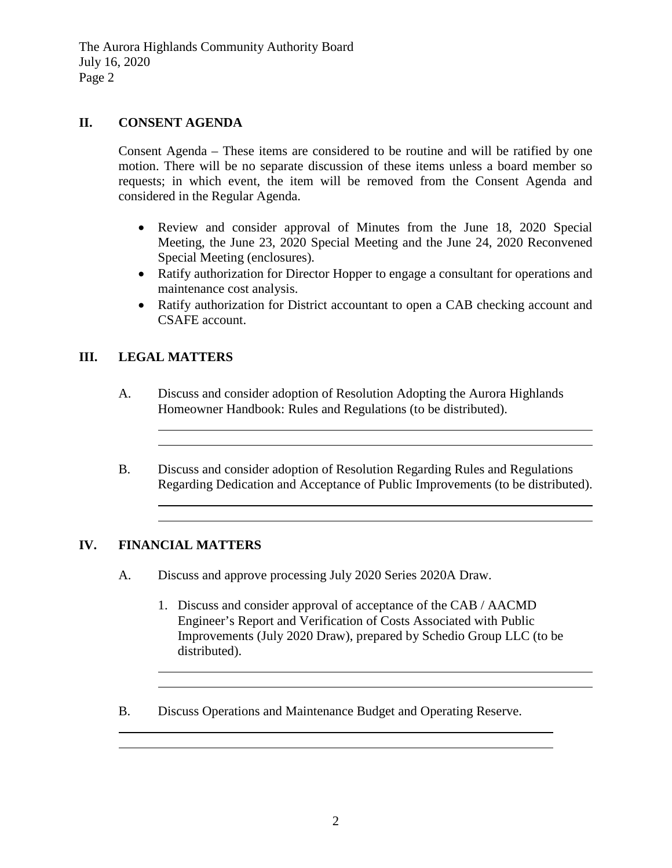The Aurora Highlands Community Authority Board July 16, 2020 Page 2

### **II. CONSENT AGENDA**

Consent Agenda – These items are considered to be routine and will be ratified by one motion. There will be no separate discussion of these items unless a board member so requests; in which event, the item will be removed from the Consent Agenda and considered in the Regular Agenda.

- Review and consider approval of Minutes from the June 18, 2020 Special Meeting, the June 23, 2020 Special Meeting and the June 24, 2020 Reconvened Special Meeting (enclosures).
- Ratify authorization for Director Hopper to engage a consultant for operations and maintenance cost analysis.
- Ratify authorization for District accountant to open a CAB checking account and CSAFE account.

### **III. LEGAL MATTERS**

- A. Discuss and consider adoption of Resolution Adopting the Aurora Highlands Homeowner Handbook: Rules and Regulations (to be distributed).
- B. Discuss and consider adoption of Resolution Regarding Rules and Regulations Regarding Dedication and Acceptance of Public Improvements (to be distributed).

and the control of the control of the control of the control of the control of the control of the control of the

### **IV. FINANCIAL MATTERS**

- A. Discuss and approve processing July 2020 Series 2020A Draw.
	- 1. Discuss and consider approval of acceptance of the CAB / AACMD Engineer's Report and Verification of Costs Associated with Public Improvements (July 2020 Draw), prepared by Schedio Group LLC (to be distributed).
- B. Discuss Operations and Maintenance Budget and Operating Reserve.